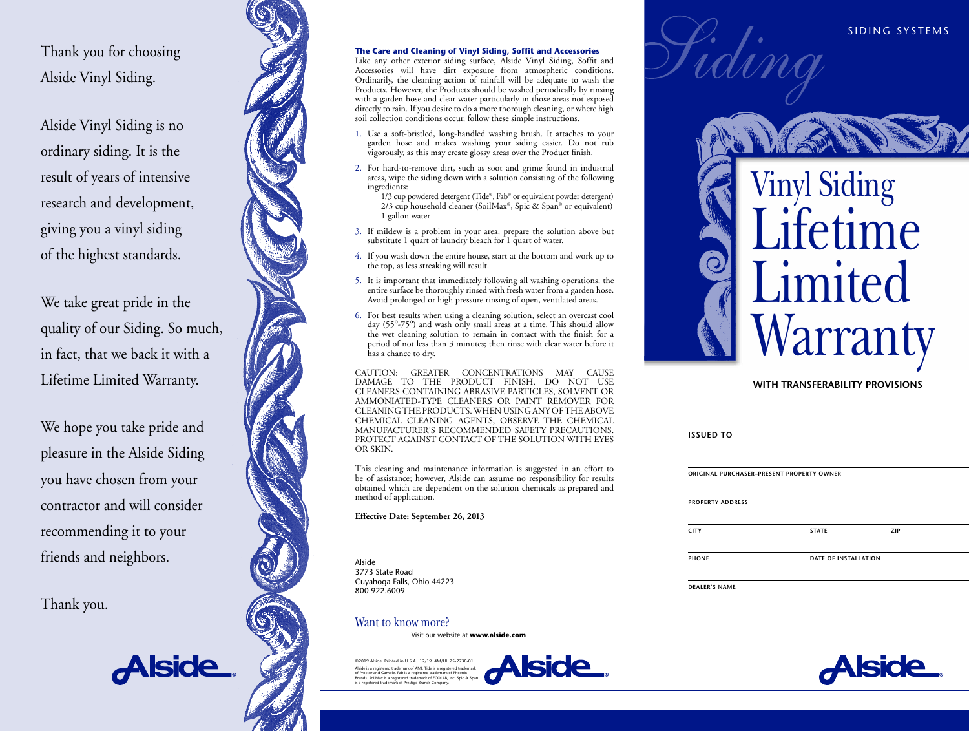Thank you for choosing Alside Vinyl Siding.

Alside Vinyl Siding is no ordinary siding. It is the result of years of intensive research and development, giving you a vinyl siding of the highest standards.

We take great pride in the quality of our Siding. So much, in fact, that we back it with a Lifetime Limited Warranty.

We hope you take pride and pleasure in the Alside Siding you have chosen from your contractor and will consider recommending it to your friends and neighbors.

Thank you.

<u>Alside</u>

#### **The Care and Cleaning of Vinyl Siding, Soffit and Accessories**

Like any other exterior siding surface, Alside Vinyl Siding, Soffit and Accessories will have dirt exposure from atmospheric conditions. Ordinarily, the cleaning action of rainfall will be adequate to wash the Products. However, the Products should be washed periodically by rinsing with a garden hose and clear water particularly in those areas not exposed directly to rain. If you desire to do a more thorough cleaning, or where high soil collection conditions occur, follow these simple instructions.

- 1. Use a soft-bristled, long-handled washing brush. It attaches to your garden hose and makes washing your siding easier. Do not rub vigorously, as this may create glossy areas over the Product finish.
- 2. For hard-to-remove dirt, such as soot and grime found in industrial areas, wipe the siding down with a solution consisting of the following ingredients:
- 1/3 cup powdered detergent (Tide ®, Fab ® or equivalent powder detergent) 2/3 cup household cleaner (SoilMax ®, Spic & Span ® or equivalent) 1 gallon water
- 3. If mildew is a problem in your area, prepare the solution above but substitute 1 quart of laundry bleach for 1 quart of water.
- 4. If you wash down the entire house, start at the bottom and work up to the top, as less streaking will result.
- 5. It is important that immediately following all washing operations, the entire surface be thoroughly rinsed with fresh water from a garden hose. Avoid prolonged or high pressure rinsing of open, ventilated areas.
- 6. For best results when using a cleaning solution, select an overcast cool day (55<sup>o</sup>-75<sup>o</sup>) and wash only small areas at a time. This should allow the wet cleaning solution to remain in contact with the finish for a period of not less than 3 minutes; then rinse with clear water before it has a chance to dry.

CAUTION: GREATER CONCENTRATIONS MAY CAUSE DAMAGE TO THE PRODUCT FINISH. DO NOT USE CLEANERS CONTAINING ABRASIVE PARTICLES, SOLVENT OR AMMONIATED-TYPE CLEANERS OR PAINT REMOVER FOR CLEANING THE PRODUCTS. WHEN USING ANY OF THE ABOVE CHEMICAL CLEANING AGENTS, OBSERVE THE CHEMICAL MANUFACTURER'S RECOMMENDED SAFETY PRECAUTIONS. PROTECT AGAINST CONTACT OF THE SOLUTION WITH EYES OR SKIN.

This cleaning and maintenance information is suggested in an effort to be of assistance; however, Alside can assume no responsibility for results obtained which are dependent on the solution chemicals as prepared and method of application.

**Effective Date: September 26, 2013**

Alside 3773 State Road Cuyahoga Falls, Ohio 44223 800.922.6009

## Want to know more?

Visit our website at **[www.alside.com](http://www.alside.com)** 

©2019 Alside Printed in U.S.A. 12/19 4M/UI 75-2730-01 .<br>Alside is a registered trademark of AMI. Tide is a registered tradem of Proctor and Gamble. Fab is a registered trademark of Phoenix Brands. SoilMax is a registered trademark of ECOLAB, Inc. Spic & Span is a registered trademark of Prestige Brands Company.



Vinyl Siding ifetime Limited **Warranty** 

## **WITH TRANSFERABILITY PROVISIONS**

| ISSUED. |  | тο |
|---------|--|----|
|---------|--|----|

| ORIGINAL PURCHASER-PRESENT PROPERTY OWNER<br><b>PROPERTY ADDRESS</b> |  |                      |  |  |
|----------------------------------------------------------------------|--|----------------------|--|--|
|                                                                      |  |                      |  |  |
| <b>PHONE</b>                                                         |  | DATE OF INSTALLATION |  |  |

**DEALER'S NAME**



SIDING SYSTEMS